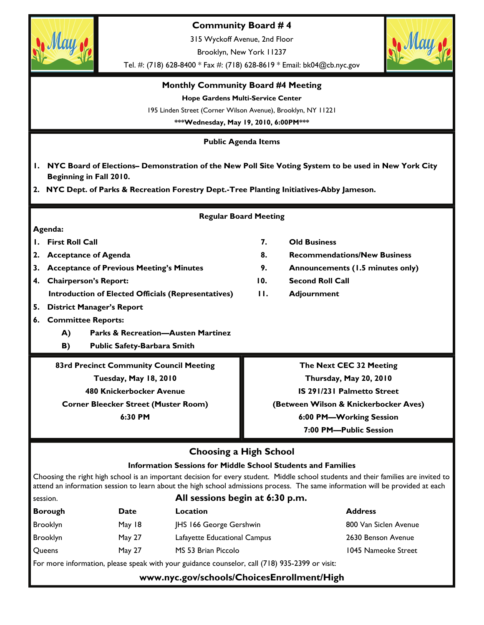

**www.nyc.gov/schools/ChoicesEnrollment/High**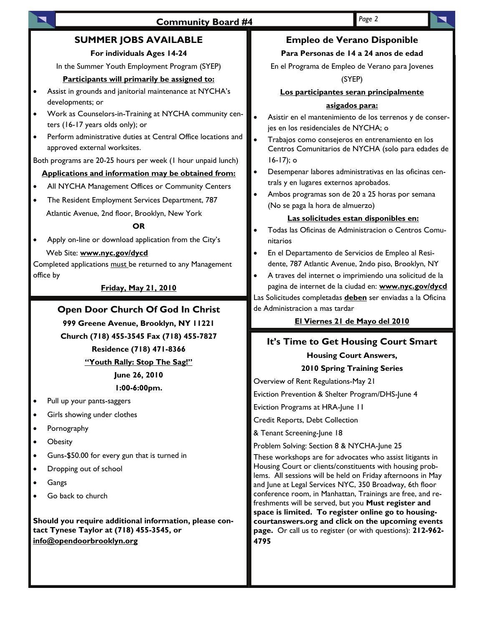# **SUMMER JOBS AVAILABLE**

#### **For individuals Ages 14-24**

In the Summer Youth Employment Program (SYEP)

#### **Participants will primarily be assigned to:**

- Assist in grounds and janitorial maintenance at NYCHA's developments; or
- Work as Counselors-in-Training at NYCHA community centers (16-17 years olds only); or
- Perform administrative duties at Central Office locations and approved external worksites.

Both programs are 20-25 hours per week (1 hour unpaid lunch)

#### **Applications and information may be obtained from:**

- All NYCHA Management Offices or Community Centers
- The Resident Employment Services Department, 787 Atlantic Avenue, 2nd floor, Brooklyn, New York

#### **OR**

• Apply on-line or download application from the City's Web Site: **www.nyc.gov/dycd**

Completed applications must be returned to any Management office by

### **Friday, May 21, 2010**

## **Open Door Church Of God In Christ**

**999 Greene Avenue, Brooklyn, NY 11221** 

**Church (718) 455-3545 Fax (718) 455-7827** 

# **Residence (718) 471-8366**

### **"Youth Rally: Stop The Sag!"**

# **June 26, 2010**

**1:00-6:00pm.** 

- Pull up your pants-saggers
- Girls showing under clothes
- Pornography
- **Obesity**
- Guns-\$50.00 for every gun that is turned in
- Dropping out of school
- **Gangs**
- Go back to church

**Should you require additional information, please contact Tynese Taylor at (718) 455-3545, or info@opendoorbrooklyn.org**

# **Empleo de Verano Disponible**

#### **Para Personas de 14 a 24 anos de edad**

En el Programa de Empleo de Verano para Jovenes

(SYEP)

#### **Los participantes seran principalmente**

#### **asigados para:**

- Asistir en el mantenimiento de los terrenos y de conserjes en los residenciales de NYCHA; o
- Trabajos como consejeros en entrenamiento en los Centros Comunitarios de NYCHA (solo para edades de 16-17); o
- Desempenar labores administrativas en las oficinas centrals y en lugares externos aprobados.
- Ambos programas son de 20 a 25 horas por semana (No se paga la hora de almuerzo)

#### **Las solicitudes estan disponibles en:**

- Todas las Oficinas de Administracion o Centros Comunitarios
- En el Departamento de Servicios de Empleo al Residente, 787 Atlantic Avenue, 2ndo piso, Brooklyn, NY
- A traves del internet o imprimiendo una solicitud de la pagina de internet de la ciudad en: **www.nyc.gov/dycd**

Las Solicitudes completadas **deben** ser enviadas a la Oficina de Administracion a mas tardar

#### **El Viernes 21 de Mayo del 2010**

# **It's Time to Get Housing Court Smart**

#### **Housing Court Answers,**

#### **2010 Spring Training Series**

Overview of Rent Regulations-May 21

Eviction Prevention & Shelter Program/DHS-June 4

Eviction Programs at HRA-June 11

Credit Reports, Debt Collection

& Tenant Screening-June 18

Problem Solving: Section 8 & NYCHA-June 25

These workshops are for advocates who assist litigants in Housing Court or clients/constituents with housing problems. All sessions will be held on Friday afternoons in May and June at Legal Services NYC, 350 Broadway, 6th floor conference room, in Manhattan, Trainings are free, and refreshments will be served, but you **Must register and space is limited. To register online go to housingcourtanswers.org and click on the upcoming events page.** Or call us to register (or with questions): **212-962- 4795**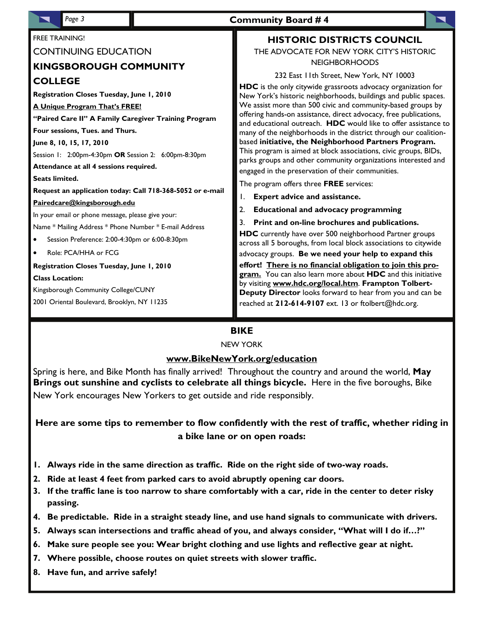| Page 3                                                                                                                                                                                                                                                                                                                                                                                                                                                                                                                                                    | <b>Community Board #4</b>                                                                                                                                                                                                                                                                                                                                                                                                                                                                                                                                                                                                                                                                                                                                                                                                                                                 |
|-----------------------------------------------------------------------------------------------------------------------------------------------------------------------------------------------------------------------------------------------------------------------------------------------------------------------------------------------------------------------------------------------------------------------------------------------------------------------------------------------------------------------------------------------------------|---------------------------------------------------------------------------------------------------------------------------------------------------------------------------------------------------------------------------------------------------------------------------------------------------------------------------------------------------------------------------------------------------------------------------------------------------------------------------------------------------------------------------------------------------------------------------------------------------------------------------------------------------------------------------------------------------------------------------------------------------------------------------------------------------------------------------------------------------------------------------|
| <b>FREE TRAINING!</b>                                                                                                                                                                                                                                                                                                                                                                                                                                                                                                                                     | <b>HISTORIC DISTRICTS COUNCIL</b>                                                                                                                                                                                                                                                                                                                                                                                                                                                                                                                                                                                                                                                                                                                                                                                                                                         |
| <b>CONTINUING EDUCATION</b>                                                                                                                                                                                                                                                                                                                                                                                                                                                                                                                               | THE ADVOCATE FOR NEW YORK CITY'S HISTORIC                                                                                                                                                                                                                                                                                                                                                                                                                                                                                                                                                                                                                                                                                                                                                                                                                                 |
| <b>KINGSBOROUGH COMMUNITY</b>                                                                                                                                                                                                                                                                                                                                                                                                                                                                                                                             | <b>NEIGHBORHOODS</b>                                                                                                                                                                                                                                                                                                                                                                                                                                                                                                                                                                                                                                                                                                                                                                                                                                                      |
|                                                                                                                                                                                                                                                                                                                                                                                                                                                                                                                                                           | 232 East 11th Street, New York, NY 10003                                                                                                                                                                                                                                                                                                                                                                                                                                                                                                                                                                                                                                                                                                                                                                                                                                  |
| <b>COLLEGE</b><br>Registration Closes Tuesday, June 1, 2010<br>A Unique Program That's FREE!<br>"Paired Care II" A Family Caregiver Training Program<br>Four sessions, Tues. and Thurs.<br>June 8, 10, 15, 17, 2010<br>Session 1: 2:00pm-4:30pm OR Session 2: 6:00pm-8:30pm<br>Attendance at all 4 sessions required.<br><b>Seats limited.</b><br>Request an application today: Call 718-368-5052 or e-mail<br>Pairedcare@kingsborough.edu<br>In your email or phone message, please give your:<br>Name * Mailing Address * Phone Number * E-mail Address | <b>HDC</b> is the only citywide grassroots advocacy organization for<br>New York's historic neighborhoods, buildings and public spaces.<br>We assist more than 500 civic and community-based groups by<br>offering hands-on assistance, direct advocacy, free publications,<br>and educational outreach. HDC would like to offer assistance to<br>many of the neighborhoods in the district through our coalition-<br>based initiative, the Neighborhood Partners Program.<br>This program is aimed at block associations, civic groups, BIDs,<br>parks groups and other community organizations interested and<br>engaged in the preservation of their communities.<br>The program offers three FREE services:<br><b>Expert advice and assistance.</b><br>Ι.<br><b>Educational and advocacy programming</b><br>2.<br>Print and on-line brochures and publications.<br>3. |
|                                                                                                                                                                                                                                                                                                                                                                                                                                                                                                                                                           | HDC currently have over 500 neighborhood Partner groups                                                                                                                                                                                                                                                                                                                                                                                                                                                                                                                                                                                                                                                                                                                                                                                                                   |
| Session Preference: 2:00-4:30pm or 6:00-8:30pm<br>Role: PCA/HHA or FCG<br>$\bullet$<br>Registration Closes Tuesday, June 1, 2010<br><b>Class Location:</b><br>Kingsborough Community College/CUNY<br>2001 Oriental Boulevard, Brooklyn, NY 11235                                                                                                                                                                                                                                                                                                          | across all 5 boroughs, from local block associations to citywide<br>advocacy groups. Be we need your help to expand this<br>effort! There is no financial obligation to join this pro-<br>gram. You can also learn more about HDC and this initiative<br>by visiting www.hdc.org/local.htm. Frampton Tolbert-<br>Deputy Director looks forward to hear from you and can be<br>reached at 212-614-9107 ext. 13 or ftolbert@hdc.org.                                                                                                                                                                                                                                                                                                                                                                                                                                        |

# **BIKE**

#### NEW YORK

## **www.BikeNewYork.org/education**

Spring is here, and Bike Month has finally arrived! Throughout the country and around the world, **May Brings out sunshine and cyclists to celebrate all things bicycle.** Here in the five boroughs, Bike New York encourages New Yorkers to get outside and ride responsibly.

**Here are some tips to remember to flow confidently with the rest of traffic, whether riding in a bike lane or on open roads:** 

- **1. Always ride in the same direction as traffic. Ride on the right side of two-way roads.**
- **2. Ride at least 4 feet from parked cars to avoid abruptly opening car doors.**
- **3. If the traffic lane is too narrow to share comfortably with a car, ride in the center to deter risky passing.**
- **4. Be predictable. Ride in a straight steady line, and use hand signals to communicate with drivers.**
- **5. Always scan intersections and traffic ahead of you, and always consider, "What will I do if…?"**
- **6. Make sure people see you: Wear bright clothing and use lights and reflective gear at night.**
- **7. Where possible, choose routes on quiet streets with slower traffic.**
- **8. Have fun, and arrive safely!**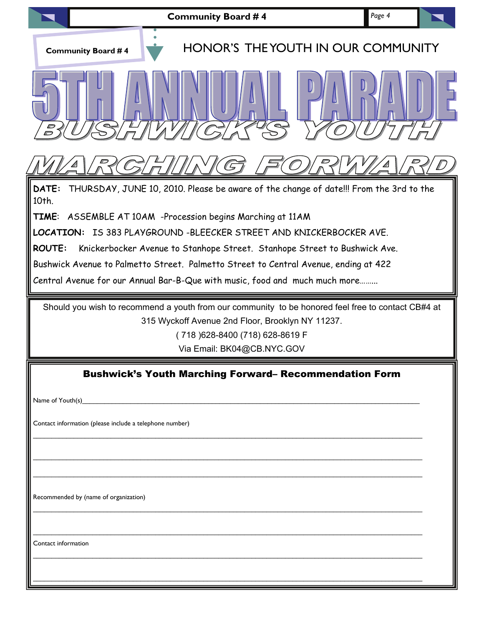